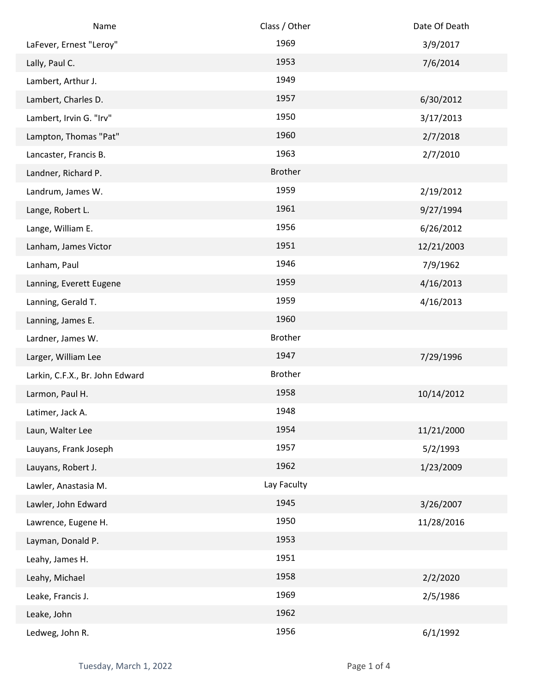| Name                            | Class / Other  | Date Of Death |
|---------------------------------|----------------|---------------|
| LaFever, Ernest "Leroy"         | 1969           | 3/9/2017      |
| Lally, Paul C.                  | 1953           | 7/6/2014      |
| Lambert, Arthur J.              | 1949           |               |
| Lambert, Charles D.             | 1957           | 6/30/2012     |
| Lambert, Irvin G. "Irv"         | 1950           | 3/17/2013     |
| Lampton, Thomas "Pat"           | 1960           | 2/7/2018      |
| Lancaster, Francis B.           | 1963           | 2/7/2010      |
| Landner, Richard P.             | <b>Brother</b> |               |
| Landrum, James W.               | 1959           | 2/19/2012     |
| Lange, Robert L.                | 1961           | 9/27/1994     |
| Lange, William E.               | 1956           | 6/26/2012     |
| Lanham, James Victor            | 1951           | 12/21/2003    |
| Lanham, Paul                    | 1946           | 7/9/1962      |
| Lanning, Everett Eugene         | 1959           | 4/16/2013     |
| Lanning, Gerald T.              | 1959           | 4/16/2013     |
| Lanning, James E.               | 1960           |               |
| Lardner, James W.               | <b>Brother</b> |               |
| Larger, William Lee             | 1947           | 7/29/1996     |
| Larkin, C.F.X., Br. John Edward | <b>Brother</b> |               |
| Larmon, Paul H.                 | 1958           | 10/14/2012    |
| Latimer, Jack A.                | 1948           |               |
| Laun, Walter Lee                | 1954           | 11/21/2000    |
| Lauyans, Frank Joseph           | 1957           | 5/2/1993      |
| Lauyans, Robert J.              | 1962           | 1/23/2009     |
| Lawler, Anastasia M.            | Lay Faculty    |               |
| Lawler, John Edward             | 1945           | 3/26/2007     |
| Lawrence, Eugene H.             | 1950           | 11/28/2016    |
| Layman, Donald P.               | 1953           |               |
| Leahy, James H.                 | 1951           |               |
| Leahy, Michael                  | 1958           | 2/2/2020      |
| Leake, Francis J.               | 1969           | 2/5/1986      |
| Leake, John                     | 1962           |               |
| Ledweg, John R.                 | 1956           | 6/1/1992      |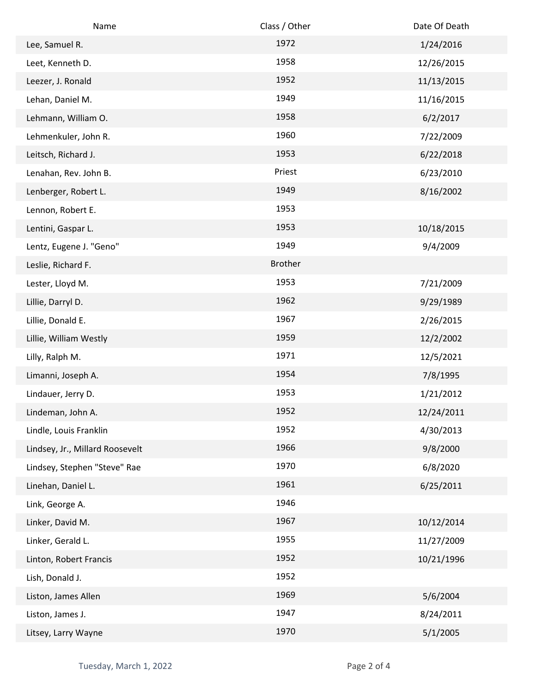| Name                            | Class / Other  | Date Of Death |
|---------------------------------|----------------|---------------|
| Lee, Samuel R.                  | 1972           | 1/24/2016     |
| Leet, Kenneth D.                | 1958           | 12/26/2015    |
| Leezer, J. Ronald               | 1952           | 11/13/2015    |
| Lehan, Daniel M.                | 1949           | 11/16/2015    |
| Lehmann, William O.             | 1958           | 6/2/2017      |
| Lehmenkuler, John R.            | 1960           | 7/22/2009     |
| Leitsch, Richard J.             | 1953           | 6/22/2018     |
| Lenahan, Rev. John B.           | Priest         | 6/23/2010     |
| Lenberger, Robert L.            | 1949           | 8/16/2002     |
| Lennon, Robert E.               | 1953           |               |
| Lentini, Gaspar L.              | 1953           | 10/18/2015    |
| Lentz, Eugene J. "Geno"         | 1949           | 9/4/2009      |
| Leslie, Richard F.              | <b>Brother</b> |               |
| Lester, Lloyd M.                | 1953           | 7/21/2009     |
| Lillie, Darryl D.               | 1962           | 9/29/1989     |
| Lillie, Donald E.               | 1967           | 2/26/2015     |
| Lillie, William Westly          | 1959           | 12/2/2002     |
| Lilly, Ralph M.                 | 1971           | 12/5/2021     |
| Limanni, Joseph A.              | 1954           | 7/8/1995      |
| Lindauer, Jerry D.              | 1953           | 1/21/2012     |
| Lindeman, John A.               | 1952           | 12/24/2011    |
| Lindle, Louis Franklin          | 1952           | 4/30/2013     |
| Lindsey, Jr., Millard Roosevelt | 1966           | 9/8/2000      |
| Lindsey, Stephen "Steve" Rae    | 1970           | 6/8/2020      |
| Linehan, Daniel L.              | 1961           | 6/25/2011     |
| Link, George A.                 | 1946           |               |
| Linker, David M.                | 1967           | 10/12/2014    |
| Linker, Gerald L.               | 1955           | 11/27/2009    |
| Linton, Robert Francis          | 1952           | 10/21/1996    |
| Lish, Donald J.                 | 1952           |               |
| Liston, James Allen             | 1969           | 5/6/2004      |
| Liston, James J.                | 1947           | 8/24/2011     |
| Litsey, Larry Wayne             | 1970           | 5/1/2005      |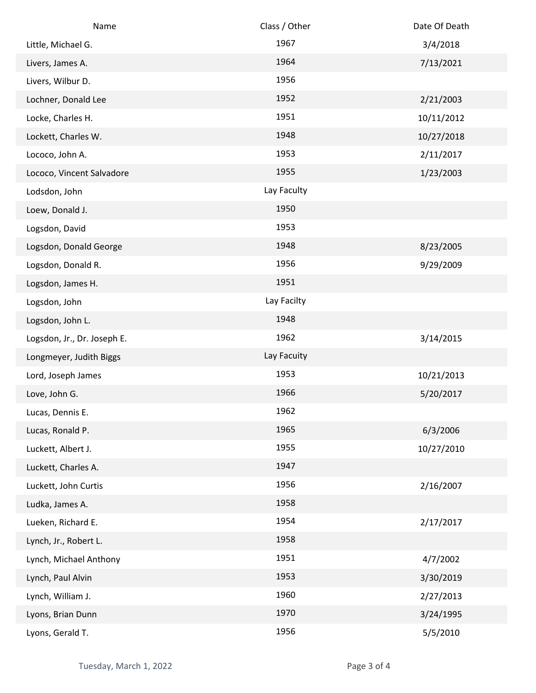| Name                        | Class / Other | Date Of Death |
|-----------------------------|---------------|---------------|
| Little, Michael G.          | 1967          | 3/4/2018      |
| Livers, James A.            | 1964          | 7/13/2021     |
| Livers, Wilbur D.           | 1956          |               |
| Lochner, Donald Lee         | 1952          | 2/21/2003     |
| Locke, Charles H.           | 1951          | 10/11/2012    |
| Lockett, Charles W.         | 1948          | 10/27/2018    |
| Lococo, John A.             | 1953          | 2/11/2017     |
| Lococo, Vincent Salvadore   | 1955          | 1/23/2003     |
| Lodsdon, John               | Lay Faculty   |               |
| Loew, Donald J.             | 1950          |               |
| Logsdon, David              | 1953          |               |
| Logsdon, Donald George      | 1948          | 8/23/2005     |
| Logsdon, Donald R.          | 1956          | 9/29/2009     |
| Logsdon, James H.           | 1951          |               |
| Logsdon, John               | Lay Facilty   |               |
| Logsdon, John L.            | 1948          |               |
| Logsdon, Jr., Dr. Joseph E. | 1962          | 3/14/2015     |
| Longmeyer, Judith Biggs     | Lay Facuity   |               |
| Lord, Joseph James          | 1953          | 10/21/2013    |
| Love, John G.               | 1966          | 5/20/2017     |
| Lucas, Dennis E.            | 1962          |               |
| Lucas, Ronald P.            | 1965          | 6/3/2006      |
| Luckett, Albert J.          | 1955          | 10/27/2010    |
| Luckett, Charles A.         | 1947          |               |
| Luckett, John Curtis        | 1956          | 2/16/2007     |
| Ludka, James A.             | 1958          |               |
| Lueken, Richard E.          | 1954          | 2/17/2017     |
| Lynch, Jr., Robert L.       | 1958          |               |
| Lynch, Michael Anthony      | 1951          | 4/7/2002      |
| Lynch, Paul Alvin           | 1953          | 3/30/2019     |
| Lynch, William J.           | 1960          | 2/27/2013     |
| Lyons, Brian Dunn           | 1970          | 3/24/1995     |
| Lyons, Gerald T.            | 1956          | 5/5/2010      |